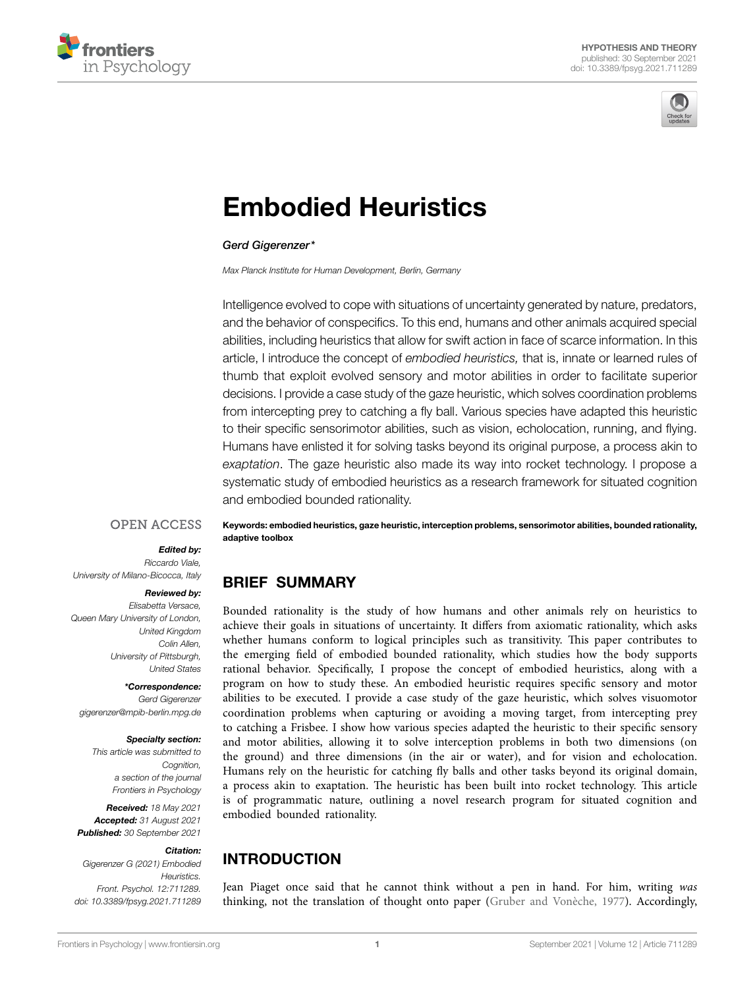



# [Embodied Heuristics](https://www.frontiersin.org/articles/10.3389/fpsyg.2021.711289/full)

#### *Gerd Gigerenzer\**

*Max Planck Institute for Human Development, Berlin, Germany*

Intelligence evolved to cope with situations of uncertainty generated by nature, predators, and the behavior of conspecifics. To this end, humans and other animals acquired special abilities, including heuristics that allow for swift action in face of scarce information. In this article, I introduce the concept of *embodied heuristics,* that is, innate or learned rules of thumb that exploit evolved sensory and motor abilities in order to facilitate superior decisions. I provide a case study of the gaze heuristic, which solves coordination problems from intercepting prey to catching a fly ball. Various species have adapted this heuristic to their specific sensorimotor abilities, such as vision, echolocation, running, and flying. Humans have enlisted it for solving tasks beyond its original purpose, a process akin to *exaptation*. The gaze heuristic also made its way into rocket technology. I propose a systematic study of embodied heuristics as a research framework for situated cognition and embodied bounded rationality.

#### **OPEN ACCESS**

#### *Edited by:*

*Riccardo Viale, University of Milano-Bicocca, Italy*

#### *Reviewed by:*

*Elisabetta Versace, Queen Mary University of London, United Kingdom Colin Allen, University of Pittsburgh, United States*

*\*Correspondence:* 

*Gerd Gigerenzer [gigerenzer@mpib-berlin.mpg.de](mailto:gigerenzer@mpib-berlin.mpg.de)*

#### *Specialty section:*

*This article was submitted to Cognition, a section of the journal Frontiers in Psychology*

*Received: 18 May 2021 Accepted: 31 August 2021 Published: 30 September 2021*

#### *Citation:*

*Gigerenzer G (2021) Embodied Heuristics. Front. Psychol. 12:711289. [doi: 10.3389/fpsyg.2021.711289](https://doi.org/10.3389/fpsyg.2021.711289)* Keywords: embodied heuristics, gaze heuristic, interception problems, sensorimotor abilities, bounded rationality, adaptive toolbox

## BRIEF SUMMARY

Bounded rationality is the study of how humans and other animals rely on heuristics to achieve their goals in situations of uncertainty. It differs from axiomatic rationality, which asks whether humans conform to logical principles such as transitivity. This paper contributes to the emerging field of embodied bounded rationality, which studies how the body supports rational behavior. Specifically, I propose the concept of embodied heuristics, along with a program on how to study these. An embodied heuristic requires specific sensory and motor abilities to be executed. I provide a case study of the gaze heuristic, which solves visuomotor coordination problems when capturing or avoiding a moving target, from intercepting prey to catching a Frisbee. I show how various species adapted the heuristic to their specific sensory and motor abilities, allowing it to solve interception problems in both two dimensions (on the ground) and three dimensions (in the air or water), and for vision and echolocation. Humans rely on the heuristic for catching fly balls and other tasks beyond its original domain, a process akin to exaptation. The heuristic has been built into rocket technology. This article is of programmatic nature, outlining a novel research program for situated cognition and embodied bounded rationality.

# INTRODUCTION

Jean Piaget once said that he cannot think without a pen in hand. For him, writing *was* thinking, not the translation of thought onto paper [\(Gruber and Vonèche, 1977\)](#page-10-0). Accordingly,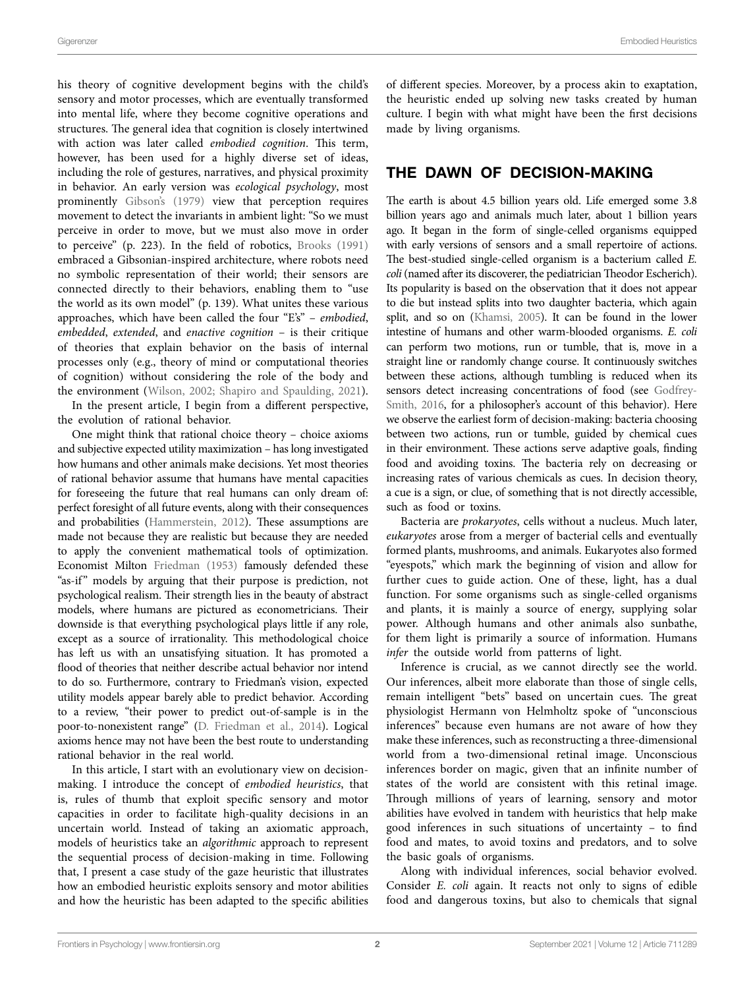Gigerenzer Embodied Heuristics

his theory of cognitive development begins with the child's sensory and motor processes, which are eventually transformed into mental life, where they become cognitive operations and structures. The general idea that cognition is closely intertwined with action was later called *embodied cognition*. This term, however, has been used for a highly diverse set of ideas, including the role of gestures, narratives, and physical proximity in behavior. An early version was *ecological psychology*, most prominently [Gibson's \(1979\)](#page-10-1) view that perception requires movement to detect the invariants in ambient light: "So we must perceive in order to move, but we must also move in order to perceive" (p. 223). In the field of robotics, [Brooks \(1991\)](#page-10-2) embraced a Gibsonian-inspired architecture, where robots need no symbolic representation of their world; their sensors are connected directly to their behaviors, enabling them to "use the world as its own model" (p. 139). What unites these various approaches, which have been called the four "E's" – *embodied*, *embedded*, *extended*, and *enactive cognition* – is their critique of theories that explain behavior on the basis of internal processes only (e.g., theory of mind or computational theories of cognition) without considering the role of the body and the environment [\(Wilson, 2002;](#page-11-0) [Shapiro and Spaulding, 2021](#page-11-1)).

In the present article, I begin from a different perspective, the evolution of rational behavior.

One might think that rational choice theory – choice axioms and subjective expected utility maximization – has long investigated how humans and other animals make decisions. Yet most theories of rational behavior assume that humans have mental capacities for foreseeing the future that real humans can only dream of: perfect foresight of all future events, along with their consequences and probabilities [\(Hammerstein, 2012\)](#page-11-2). These assumptions are made not because they are realistic but because they are needed to apply the convenient mathematical tools of optimization. Economist Milton [Friedman \(1953\)](#page-10-3) famously defended these "as-if" models by arguing that their purpose is prediction, not psychological realism. Their strength lies in the beauty of abstract models, where humans are pictured as econometricians. Their downside is that everything psychological plays little if any role, except as a source of irrationality. This methodological choice has left us with an unsatisfying situation. It has promoted a flood of theories that neither describe actual behavior nor intend to do so. Furthermore, contrary to Friedman's vision, expected utility models appear barely able to predict behavior. According to a review, "their power to predict out-of-sample is in the poor-to-nonexistent range" [\(D. Friedman et al., 2014\)](#page-10-4). Logical axioms hence may not have been the best route to understanding rational behavior in the real world.

In this article, I start with an evolutionary view on decisionmaking. I introduce the concept of *embodied heuristics*, that is, rules of thumb that exploit specific sensory and motor capacities in order to facilitate high-quality decisions in an uncertain world. Instead of taking an axiomatic approach, models of heuristics take an *algorithmic* approach to represent the sequential process of decision-making in time. Following that, I present a case study of the gaze heuristic that illustrates how an embodied heuristic exploits sensory and motor abilities and how the heuristic has been adapted to the specific abilities of different species. Moreover, by a process akin to exaptation, the heuristic ended up solving new tasks created by human culture. I begin with what might have been the first decisions made by living organisms.

## THE DAWN OF DECISION-MAKING

The earth is about 4.5 billion years old. Life emerged some 3.8 billion years ago and animals much later, about 1 billion years ago. It began in the form of single-celled organisms equipped with early versions of sensors and a small repertoire of actions. The best-studied single-celled organism is a bacterium called *E. coli* (named after its discoverer, the pediatrician Theodor Escherich). Its popularity is based on the observation that it does not appear to die but instead splits into two daughter bacteria, which again split, and so on [\(Khamsi, 2005](#page-11-3)). It can be found in the lower intestine of humans and other warm-blooded organisms. *E. coli* can perform two motions, run or tumble, that is, move in a straight line or randomly change course. It continuously switches between these actions, although tumbling is reduced when its sensors detect increasing concentrations of food (see [Godfrey-](#page-10-5)[Smith, 2016](#page-10-5), for a philosopher's account of this behavior). Here we observe the earliest form of decision-making: bacteria choosing between two actions, run or tumble, guided by chemical cues in their environment. These actions serve adaptive goals, finding food and avoiding toxins. The bacteria rely on decreasing or increasing rates of various chemicals as cues. In decision theory, a cue is a sign, or clue, of something that is not directly accessible, such as food or toxins.

Bacteria are *prokaryotes*, cells without a nucleus. Much later, *eukaryotes* arose from a merger of bacterial cells and eventually formed plants, mushrooms, and animals. Eukaryotes also formed "eyespots," which mark the beginning of vision and allow for further cues to guide action. One of these, light, has a dual function. For some organisms such as single-celled organisms and plants, it is mainly a source of energy, supplying solar power. Although humans and other animals also sunbathe, for them light is primarily a source of information. Humans *infer* the outside world from patterns of light.

Inference is crucial, as we cannot directly see the world. Our inferences, albeit more elaborate than those of single cells, remain intelligent "bets" based on uncertain cues. The great physiologist Hermann von Helmholtz spoke of "unconscious inferences" because even humans are not aware of how they make these inferences, such as reconstructing a three-dimensional world from a two-dimensional retinal image. Unconscious inferences border on magic, given that an infinite number of states of the world are consistent with this retinal image. Through millions of years of learning, sensory and motor abilities have evolved in tandem with heuristics that help make good inferences in such situations of uncertainty – to find food and mates, to avoid toxins and predators, and to solve the basic goals of organisms.

Along with individual inferences, social behavior evolved. Consider *E. coli* again. It reacts not only to signs of edible food and dangerous toxins, but also to chemicals that signal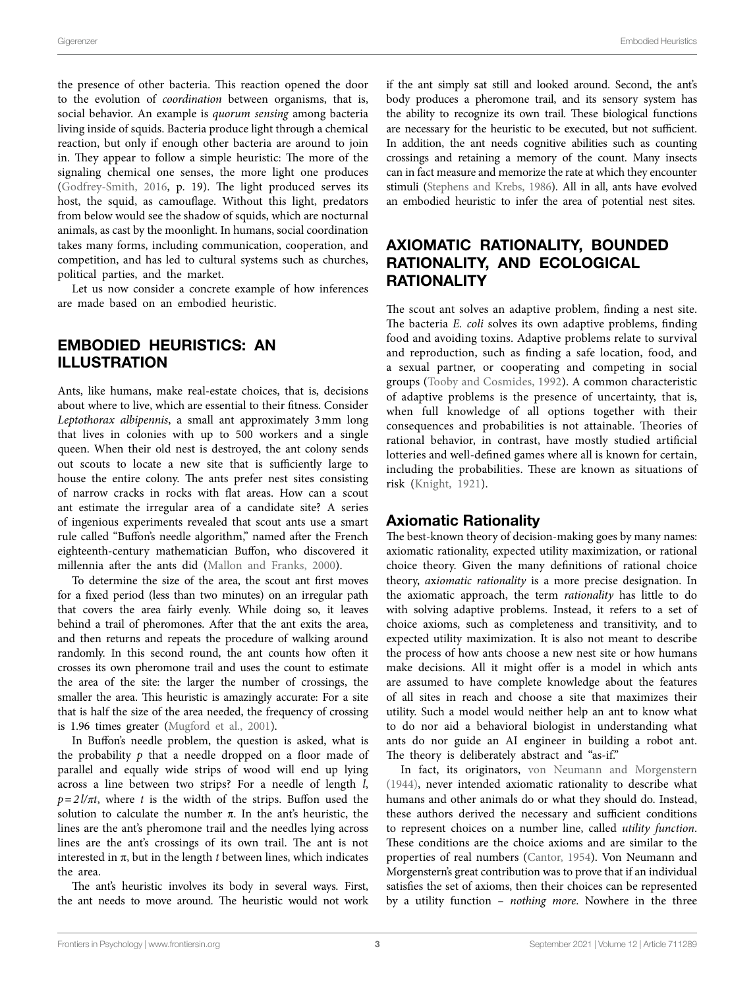the presence of other bacteria. This reaction opened the door to the evolution of *coordination* between organisms, that is, social behavior. An example is *quorum sensing* among bacteria living inside of squids. Bacteria produce light through a chemical reaction, but only if enough other bacteria are around to join in. They appear to follow a simple heuristic: The more of the signaling chemical one senses, the more light one produces ([Godfrey-Smith, 2016,](#page-10-5) p. 19). The light produced serves its host, the squid, as camouflage. Without this light, predators from below would see the shadow of squids, which are nocturnal animals, as cast by the moonlight. In humans, social coordination takes many forms, including communication, cooperation, and competition, and has led to cultural systems such as churches, political parties, and the market.

Let us now consider a concrete example of how inferences are made based on an embodied heuristic.

# EMBODIED HEURISTICS: AN ILLUSTRATION

Ants, like humans, make real-estate choices, that is, decisions about where to live, which are essential to their fitness. Consider *Leptothorax albipennis*, a small ant approximately 3mm long that lives in colonies with up to 500 workers and a single queen. When their old nest is destroyed, the ant colony sends out scouts to locate a new site that is sufficiently large to house the entire colony. The ants prefer nest sites consisting of narrow cracks in rocks with flat areas. How can a scout ant estimate the irregular area of a candidate site? A series of ingenious experiments revealed that scout ants use a smart rule called "Buffon's needle algorithm," named after the French eighteenth-century mathematician Buffon, who discovered it millennia after the ants did ([Mallon and Franks, 2000\)](#page-11-4).

To determine the size of the area, the scout ant first moves for a fixed period (less than two minutes) on an irregular path that covers the area fairly evenly. While doing so, it leaves behind a trail of pheromones. After that the ant exits the area, and then returns and repeats the procedure of walking around randomly. In this second round, the ant counts how often it crosses its own pheromone trail and uses the count to estimate the area of the site: the larger the number of crossings, the smaller the area. This heuristic is amazingly accurate: For a site that is half the size of the area needed, the frequency of crossing is 1.96 times greater ([Mugford et al., 2001](#page-11-5)).

In Buffon's needle problem, the question is asked, what is the probability  $p$  that a needle dropped on a floor made of parallel and equally wide strips of wood will end up lying across a line between two strips? For a needle of length *l*,  $p=2l/\pi t$ , where *t* is the width of the strips. Buffon used the solution to calculate the number  $\pi$ . In the ant's heuristic, the lines are the ant's pheromone trail and the needles lying across lines are the ant's crossings of its own trail. The ant is not interested in π, but in the length *t* between lines, which indicates the area.

The ant's heuristic involves its body in several ways. First, the ant needs to move around. The heuristic would not work if the ant simply sat still and looked around. Second, the ant's body produces a pheromone trail, and its sensory system has the ability to recognize its own trail. These biological functions are necessary for the heuristic to be executed, but not sufficient. In addition, the ant needs cognitive abilities such as counting crossings and retaining a memory of the count. Many insects can in fact measure and memorize the rate at which they encounter stimuli [\(Stephens and Krebs, 1986\)](#page-11-6). All in all, ants have evolved an embodied heuristic to infer the area of potential nest sites.

# AXIOMATIC RATIONALITY, BOUNDED RATIONALITY, AND ECOLOGICAL **RATIONALITY**

The scout ant solves an adaptive problem, finding a nest site. The bacteria *E. coli* solves its own adaptive problems, finding food and avoiding toxins. Adaptive problems relate to survival and reproduction, such as finding a safe location, food, and a sexual partner, or cooperating and competing in social groups [\(Tooby and Cosmides, 1992](#page-11-7)). A common characteristic of adaptive problems is the presence of uncertainty, that is, when full knowledge of all options together with their consequences and probabilities is not attainable. Theories of rational behavior, in contrast, have mostly studied artificial lotteries and well-defined games where all is known for certain, including the probabilities. These are known as situations of risk [\(Knight, 1921](#page-11-8)).

#### Axiomatic Rationality

The best-known theory of decision-making goes by many names: axiomatic rationality, expected utility maximization, or rational choice theory. Given the many definitions of rational choice theory, *a*x*iomatic rationality* is a more precise designation. In the axiomatic approach, the term *rationality* has little to do with solving adaptive problems. Instead, it refers to a set of choice axioms, such as completeness and transitivity, and to expected utility maximization. It is also not meant to describe the process of how ants choose a new nest site or how humans make decisions. All it might offer is a model in which ants are assumed to have complete knowledge about the features of all sites in reach and choose a site that maximizes their utility. Such a model would neither help an ant to know what to do nor aid a behavioral biologist in understanding what ants do nor guide an AI engineer in building a robot ant. The theory is deliberately abstract and "as-if."

In fact, its originators, [von Neumann and Morgenstern](#page-11-9)  [\(1944\),](#page-11-9) never intended axiomatic rationality to describe what humans and other animals do or what they should do. Instead, these authors derived the necessary and sufficient conditions to represent choices on a number line, called *utility function*. These conditions are the choice axioms and are similar to the properties of real numbers [\(Cantor, 1954\)](#page-10-6). Von Neumann and Morgenstern's great contribution was to prove that if an individual satisfies the set of axioms, then their choices can be represented by a utility function – *nothing more*. Nowhere in the three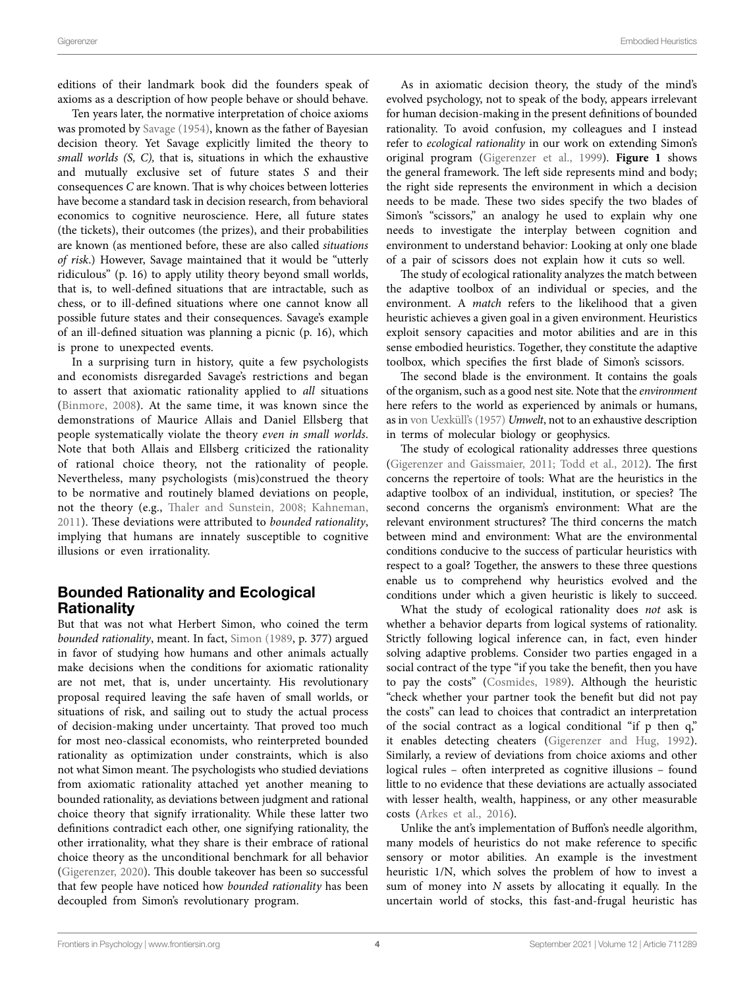editions of their landmark book did the founders speak of axioms as a description of how people behave or should behave.

Ten years later, the normative interpretation of choice axioms was promoted by [Savage \(1954\)](#page-11-10), known as the father of Bayesian decision theory. Yet Savage explicitly limited the theory to *small worlds (S, C),* that is, situations in which the exhaustive and mutually exclusive set of future states *S* and their consequences *C* are known. That is why choices between lotteries have become a standard task in decision research, from behavioral economics to cognitive neuroscience. Here, all future states (the tickets), their outcomes (the prizes), and their probabilities are known (as mentioned before, these are also called *situations of risk*.) However, Savage maintained that it would be "utterly ridiculous" (p. 16) to apply utility theory beyond small worlds, that is, to well-defined situations that are intractable, such as chess, or to ill-defined situations where one cannot know all possible future states and their consequences. Savage's example of an ill-defined situation was planning a picnic (p. 16), which is prone to unexpected events.

In a surprising turn in history, quite a few psychologists and economists disregarded Savage's restrictions and began to assert that axiomatic rationality applied to *all* situations ([Binmore, 2008\)](#page-10-7). At the same time, it was known since the demonstrations of Maurice Allais and Daniel Ellsberg that people systematically violate the theory *even in small worlds*. Note that both Allais and Ellsberg criticized the rationality of rational choice theory, not the rationality of people. Nevertheless, many psychologists (mis)construed the theory to be normative and routinely blamed deviations on people, not the theory (e.g., [Thaler and Sunstein, 2008](#page-11-11); [Kahneman,](#page-11-12)  [2011\)](#page-11-12). These deviations were attributed to *bounded rationality*, implying that humans are innately susceptible to cognitive illusions or even irrationality.

## Bounded Rationality and Ecological Rationality

But that was not what Herbert Simon, who coined the term *bounded rationality*, meant. In fact, [Simon \(1989,](#page-11-13) p. 377) argued in favor of studying how humans and other animals actually make decisions when the conditions for axiomatic rationality are not met, that is, under uncertainty. His revolutionary proposal required leaving the safe haven of small worlds, or situations of risk, and sailing out to study the actual process of decision-making under uncertainty. That proved too much for most neo-classical economists, who reinterpreted bounded rationality as optimization under constraints, which is also not what Simon meant. The psychologists who studied deviations from axiomatic rationality attached yet another meaning to bounded rationality, as deviations between judgment and rational choice theory that signify irrationality. While these latter two definitions contradict each other, one signifying rationality, the other irrationality, what they share is their embrace of rational choice theory as the unconditional benchmark for all behavior ([Gigerenzer, 2020](#page-10-8)). This double takeover has been so successful that few people have noticed how *bounded rationality* has been decoupled from Simon's revolutionary program.

As in axiomatic decision theory, the study of the mind's evolved psychology, not to speak of the body, appears irrelevant for human decision-making in the present definitions of bounded rationality. To avoid confusion, my colleagues and I instead refer to *ecological rationality* in our work on extending Simon's original program [\(Gigerenzer et al., 1999](#page-10-9)). **[Figure 1](#page-4-0)** shows the general framework. The left side represents mind and body; the right side represents the environment in which a decision needs to be made. These two sides specify the two blades of Simon's "scissors," an analogy he used to explain why one needs to investigate the interplay between cognition and environment to understand behavior: Looking at only one blade of a pair of scissors does not explain how it cuts so well.

The study of ecological rationality analyzes the match between the adaptive toolbox of an individual or species, and the environment. A *match* refers to the likelihood that a given heuristic achieves a given goal in a given environment. Heuristics exploit sensory capacities and motor abilities and are in this sense embodied heuristics. Together, they constitute the adaptive toolbox, which specifies the first blade of Simon's scissors.

The second blade is the environment. It contains the goals of the organism, such as a good nest site. Note that the *environment* here refers to the world as experienced by animals or humans, as in [von Uexküll's \(1957\)](#page-11-14) *Umwelt*, not to an exhaustive description in terms of molecular biology or geophysics.

The study of ecological rationality addresses three questions [\(Gigerenzer and Gaissmaier, 2011;](#page-10-10) [Todd et al., 2012](#page-11-15)). The first concerns the repertoire of tools: What are the heuristics in the adaptive toolbox of an individual, institution, or species? The second concerns the organism's environment: What are the relevant environment structures? The third concerns the match between mind and environment: What are the environmental conditions conducive to the success of particular heuristics with respect to a goal? Together, the answers to these three questions enable us to comprehend why heuristics evolved and the conditions under which a given heuristic is likely to succeed.

What the study of ecological rationality does *not* ask is whether a behavior departs from logical systems of rationality. Strictly following logical inference can, in fact, even hinder solving adaptive problems. Consider two parties engaged in a social contract of the type "if you take the benefit, then you have to pay the costs" [\(Cosmides, 1989](#page-10-11)). Although the heuristic "check whether your partner took the benefit but did not pay the costs" can lead to choices that contradict an interpretation of the social contract as a logical conditional "if p then q," it enables detecting cheaters ([Gigerenzer and Hug, 1992](#page-10-12)). Similarly, a review of deviations from choice axioms and other logical rules – often interpreted as cognitive illusions – found little to no evidence that these deviations are actually associated with lesser health, wealth, happiness, or any other measurable costs [\(Arkes et al., 2016](#page-10-13)).

Unlike the ant's implementation of Buffon's needle algorithm, many models of heuristics do not make reference to specific sensory or motor abilities. An example is the investment heuristic 1/N, which solves the problem of how to invest a sum of money into *N* assets by allocating it equally. In the uncertain world of stocks, this fast-and-frugal heuristic has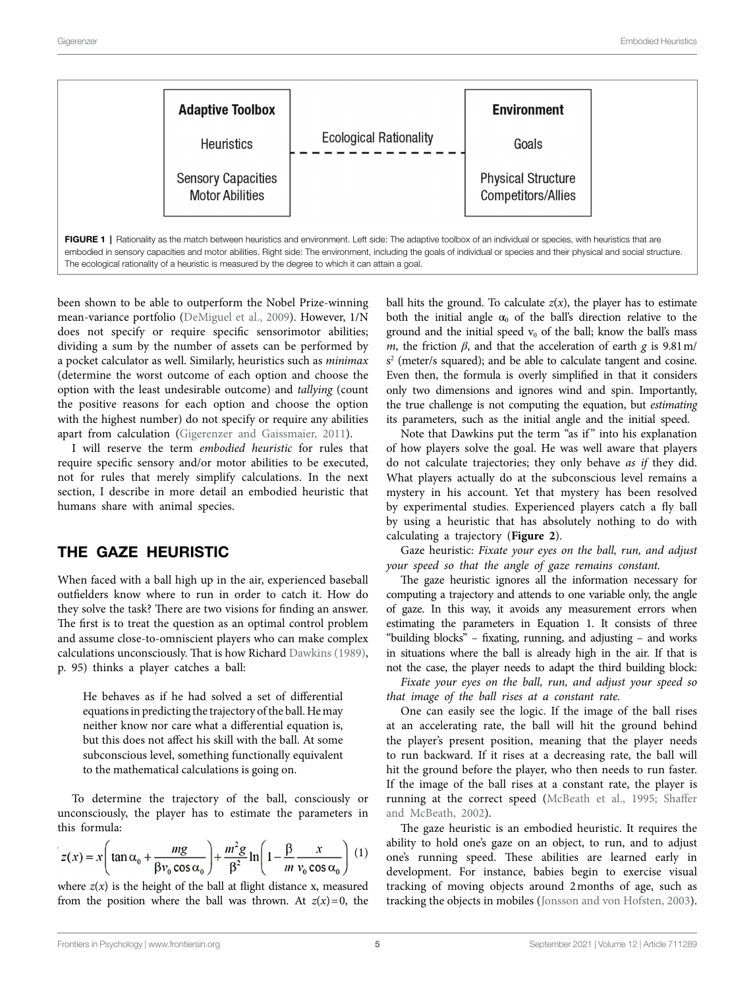<span id="page-4-0"></span>

been shown to be able to outperform the Nobel Prize-winning mean-variance portfolio ([DeMiguel et al., 2009](#page-10-14)). However, 1/N does not specify or require specific sensorimotor abilities; dividing a sum by the number of assets can be performed by a pocket calculator as well. Similarly, heuristics such as *minimax* (determine the worst outcome of each option and choose the option with the least undesirable outcome) and *tallying* (count the positive reasons for each option and choose the option with the highest number) do not specify or require any abilities apart from calculation ([Gigerenzer and Gaissmaier, 2011\)](#page-10-10).

I will reserve the term *embodied heuristic* for rules that require specific sensory and/or motor abilities to be executed, not for rules that merely simplify calculations. In the next section, I describe in more detail an embodied heuristic that humans share with animal species.

#### THE GAZE HEURISTIC

When faced with a ball high up in the air, experienced baseball outfielders know where to run in order to catch it. How do they solve the task? There are two visions for finding an answer. The first is to treat the question as an optimal control problem and assume close-to-omniscient players who can make complex calculations unconsciously. That is how Richard [Dawkins \(1989\)](#page-10-15), p. 95) thinks a player catches a ball:

He behaves as if he had solved a set of differential equations in predicting the trajectory of the ball. He may neither know nor care what a differential equation is, but this does not affect his skill with the ball. At some subconscious level, something functionally equivalent to the mathematical calculations is going on.

To determine the trajectory of the ball, consciously or unconsciously, the player has to estimate the parameters in this formula:

$$
z(x) = x \left( \tan \alpha_0 + \frac{mg}{\beta v_0 \cos \alpha_0} \right) + \frac{m^2 g}{\beta^2} \ln \left( 1 - \frac{\beta}{m} \frac{x}{v_0 \cos \alpha_0} \right) (1)
$$

where  $z(x)$  is the height of the ball at flight distance x, measured from the position where the ball was thrown. At  $z(x)=0$ , the

ball hits the ground. To calculate  $z(x)$ , the player has to estimate both the initial angle  $\alpha_0$  of the ball's direction relative to the ground and the initial speed  $v_0$  of the ball; know the ball's mass *m*, the friction  $\beta$ , and that the acceleration of earth *g* is 9.81 m/ s 2 (meter/s squared); and be able to calculate tangent and cosine. Even then, the formula is overly simplified in that it considers only two dimensions and ignores wind and spin. Importantly, the true challenge is not computing the equation, but *estimating* its parameters, such as the initial angle and the initial speed.

Note that Dawkins put the term "as if" into his explanation of how players solve the goal. He was well aware that players do not calculate trajectories; they only behave *as if* they did. What players actually do at the subconscious level remains a mystery in his account. Yet that mystery has been resolved by experimental studies. Experienced players catch a fly ball by using a heuristic that has absolutely nothing to do with calculating a trajectory (**[Figure 2](#page-5-0)**).

Gaze heuristic: *Fixate your eyes on the ball, run, and adjust your speed so that the angle of gaze remains constant.*

The gaze heuristic ignores all the information necessary for computing a trajectory and attends to one variable only, the angle of gaze. In this way, it avoids any measurement errors when estimating the parameters in Equation 1. It consists of three "building blocks" – fixating, running, and adjusting – and works in situations where the ball is already high in the air. If that is not the case, the player needs to adapt the third building block:

*Fixate your eyes on the ball, run, and adjust your speed so that image of the ball rises at a constant rate.*

One can easily see the logic. If the image of the ball rises at an accelerating rate, the ball will hit the ground behind the player's present position, meaning that the player needs to run backward. If it rises at a decreasing rate, the ball will hit the ground before the player, who then needs to run faster. If the image of the ball rises at a constant rate, the player is running at the correct speed [\(McBeath et al., 1995](#page-11-16); [Shaffer](#page-11-17)  [and McBeath, 2002](#page-11-17)).

The gaze heuristic is an embodied heuristic. It requires the ability to hold one's gaze on an object, to run, and to adjust one's running speed. These abilities are learned early in development. For instance, babies begin to exercise visual tracking of moving objects around 2months of age, such as tracking the objects in mobiles ([Jonsson and von Hofsten, 2003](#page-11-18)).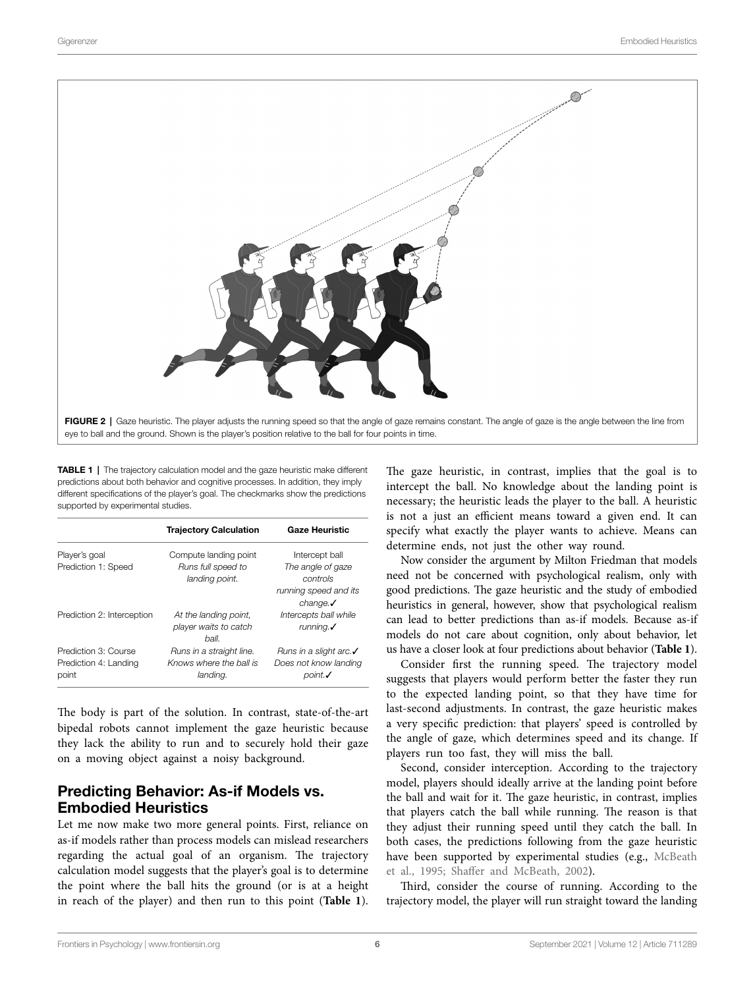<span id="page-5-0"></span>

TABLE 1 | The trajectory calculation model and the gaze heuristic make different predictions about both behavior and cognitive processes. In addition, they imply different specifications of the player's goal. The checkmarks show the predictions supported by experimental studies.

<span id="page-5-1"></span>

|                            | <b>Trajectory Calculation</b> | <b>Gaze Heuristic</b>              |
|----------------------------|-------------------------------|------------------------------------|
| Player's goal              | Compute landing point         | Intercept ball                     |
| Prediction 1: Speed        | Runs full speed to            | The angle of gaze                  |
|                            | landing point.                | controls                           |
|                            |                               | running speed and its              |
|                            |                               | change.                            |
| Prediction 2: Interception | At the landing point,         | Intercepts ball while              |
|                            | player waits to catch         | running. $\checkmark$              |
|                            | ball.                         |                                    |
| Prediction 3: Course       | Runs in a straight line.      | Runs in a slight arc. $\checkmark$ |
| Prediction 4: Landing      | Knows where the ball is       | Does not know landing              |
| point                      | landing.                      | point.                             |

The body is part of the solution. In contrast, state-of-the-art bipedal robots cannot implement the gaze heuristic because they lack the ability to run and to securely hold their gaze on a moving object against a noisy background.

## Predicting Behavior: As-if Models vs. Embodied Heuristics

Let me now make two more general points. First, reliance on as-if models rather than process models can mislead researchers regarding the actual goal of an organism. The trajectory calculation model suggests that the player's goal is to determine the point where the ball hits the ground (or is at a height in reach of the player) and then run to this point (**[Table 1](#page-5-1)**).

The gaze heuristic, in contrast, implies that the goal is to intercept the ball. No knowledge about the landing point is necessary; the heuristic leads the player to the ball. A heuristic is not a just an efficient means toward a given end. It can specify what exactly the player wants to achieve. Means can determine ends, not just the other way round.

Now consider the argument by Milton Friedman that models need not be concerned with psychological realism, only with good predictions. The gaze heuristic and the study of embodied heuristics in general, however, show that psychological realism can lead to better predictions than as-if models. Because as-if models do not care about cognition, only about behavior, let us have a closer look at four predictions about behavior (**[Table 1](#page-5-1)**).

Consider first the running speed. The trajectory model suggests that players would perform better the faster they run to the expected landing point, so that they have time for last-second adjustments. In contrast, the gaze heuristic makes a very specific prediction: that players' speed is controlled by the angle of gaze, which determines speed and its change. If players run too fast, they will miss the ball.

Second, consider interception. According to the trajectory model, players should ideally arrive at the landing point before the ball and wait for it. The gaze heuristic, in contrast, implies that players catch the ball while running. The reason is that they adjust their running speed until they catch the ball. In both cases, the predictions following from the gaze heuristic have been supported by experimental studies (e.g., McBeath [et al., 1995](#page-11-16); [Shaffer and McBeath, 2002](#page-11-17)).

Third, consider the course of running. According to the trajectory model, the player will run straight toward the landing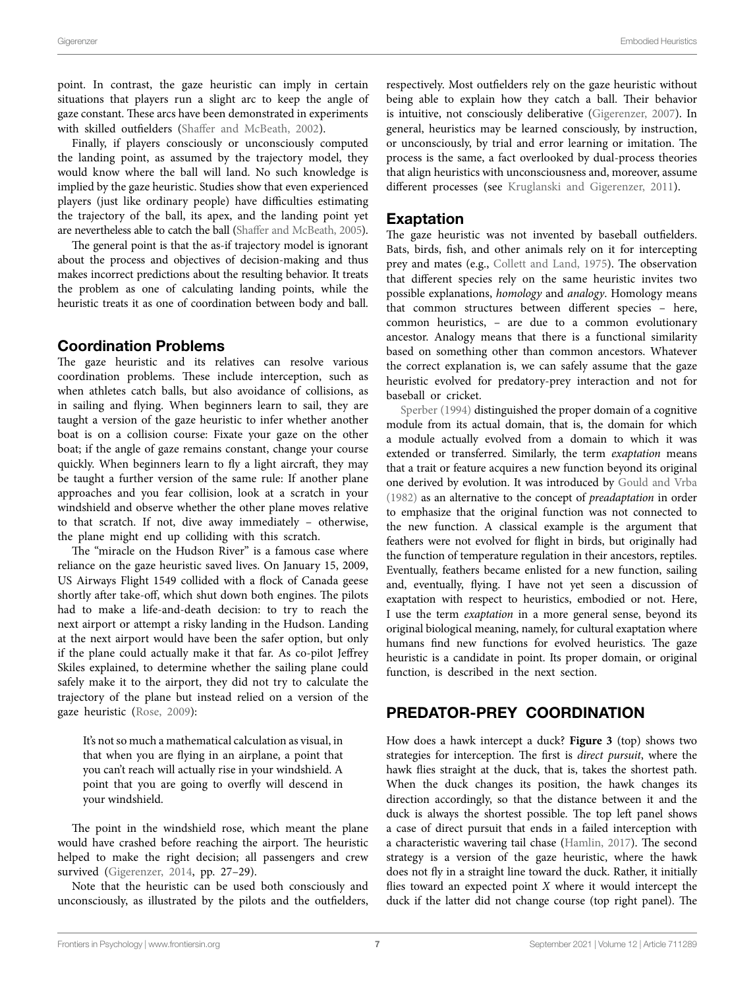point. In contrast, the gaze heuristic can imply in certain situations that players run a slight arc to keep the angle of gaze constant. These arcs have been demonstrated in experiments with skilled outfielders [\(Shaffer and McBeath, 2002\)](#page-11-17).

Finally, if players consciously or unconsciously computed the landing point, as assumed by the trajectory model, they would know where the ball will land. No such knowledge is implied by the gaze heuristic. Studies show that even experienced players (just like ordinary people) have difficulties estimating the trajectory of the ball, its apex, and the landing point yet are nevertheless able to catch the ball ([Shaffer and McBeath, 2005](#page-11-19)).

The general point is that the as-if trajectory model is ignorant about the process and objectives of decision-making and thus makes incorrect predictions about the resulting behavior. It treats the problem as one of calculating landing points, while the heuristic treats it as one of coordination between body and ball.

## Coordination Problems

The gaze heuristic and its relatives can resolve various coordination problems. These include interception, such as when athletes catch balls, but also avoidance of collisions, as in sailing and flying. When beginners learn to sail, they are taught a version of the gaze heuristic to infer whether another boat is on a collision course: Fixate your gaze on the other boat; if the angle of gaze remains constant, change your course quickly. When beginners learn to fly a light aircraft, they may be taught a further version of the same rule: If another plane approaches and you fear collision, look at a scratch in your windshield and observe whether the other plane moves relative to that scratch. If not, dive away immediately – otherwise, the plane might end up colliding with this scratch.

The "miracle on the Hudson River" is a famous case where reliance on the gaze heuristic saved lives. On January 15, 2009, US Airways Flight 1549 collided with a flock of Canada geese shortly after take-off, which shut down both engines. The pilots had to make a life-and-death decision: to try to reach the next airport or attempt a risky landing in the Hudson. Landing at the next airport would have been the safer option, but only if the plane could actually make it that far. As co-pilot Jeffrey Skiles explained, to determine whether the sailing plane could safely make it to the airport, they did not try to calculate the trajectory of the plane but instead relied on a version of the gaze heuristic [\(Rose, 2009](#page-11-20)):

It's not so much a mathematical calculation as visual, in that when you are flying in an airplane, a point that you can't reach will actually rise in your windshield. A point that you are going to overfly will descend in your windshield.

The point in the windshield rose, which meant the plane would have crashed before reaching the airport. The heuristic helped to make the right decision; all passengers and crew survived ([Gigerenzer, 2014,](#page-10-16) pp. 27–29).

Note that the heuristic can be used both consciously and unconsciously, as illustrated by the pilots and the outfielders, respectively. Most outfielders rely on the gaze heuristic without being able to explain how they catch a ball. Their behavior is intuitive, not consciously deliberative [\(Gigerenzer, 2007](#page-10-17)). In general, heuristics may be learned consciously, by instruction, or unconsciously, by trial and error learning or imitation. The process is the same, a fact overlooked by dual-process theories that align heuristics with unconsciousness and, moreover, assume different processes (see [Kruglanski and Gigerenzer, 2011](#page-11-21)).

## Exaptation

The gaze heuristic was not invented by baseball outfielders. Bats, birds, fish, and other animals rely on it for intercepting prey and mates (e.g., [Collett and Land, 1975\)](#page-10-18). The observation that different species rely on the same heuristic invites two possible explanations, *homology* and *analogy*. Homology means that common structures between different species – here, common heuristics, – are due to a common evolutionary ancestor. Analogy means that there is a functional similarity based on something other than common ancestors. Whatever the correct explanation is, we can safely assume that the gaze heuristic evolved for predatory-prey interaction and not for baseball or cricket.

[Sperber \(1994\)](#page-11-22) distinguished the proper domain of a cognitive module from its actual domain, that is, the domain for which a module actually evolved from a domain to which it was extended or transferred. Similarly, the term *exaptation* means that a trait or feature acquires a new function beyond its original one derived by evolution. It was introduced by [Gould and Vrba](#page-10-19)  [\(1982\)](#page-10-19) as an alternative to the concept of *preadaptation* in order to emphasize that the original function was not connected to the new function. A classical example is the argument that feathers were not evolved for flight in birds, but originally had the function of temperature regulation in their ancestors, reptiles. Eventually, feathers became enlisted for a new function, sailing and, eventually, flying. I have not yet seen a discussion of exaptation with respect to heuristics, embodied or not. Here, I use the term *exaptation* in a more general sense, beyond its original biological meaning, namely, for cultural exaptation where humans find new functions for evolved heuristics. The gaze heuristic is a candidate in point. Its proper domain, or original function, is described in the next section.

# PREDATOR-PREY COORDINATION

How does a hawk intercept a duck? **[Figure 3](#page-7-0)** (top) shows two strategies for interception. The first is *direct pursuit*, where the hawk flies straight at the duck, that is, takes the shortest path. When the duck changes its position, the hawk changes its direction accordingly, so that the distance between it and the duck is always the shortest possible. The top left panel shows a case of direct pursuit that ends in a failed interception with a characteristic wavering tail chase [\(Hamlin, 2017\)](#page-10-20). The second strategy is a version of the gaze heuristic, where the hawk does not fly in a straight line toward the duck. Rather, it initially flies toward an expected point *X* where it would intercept the duck if the latter did not change course (top right panel). The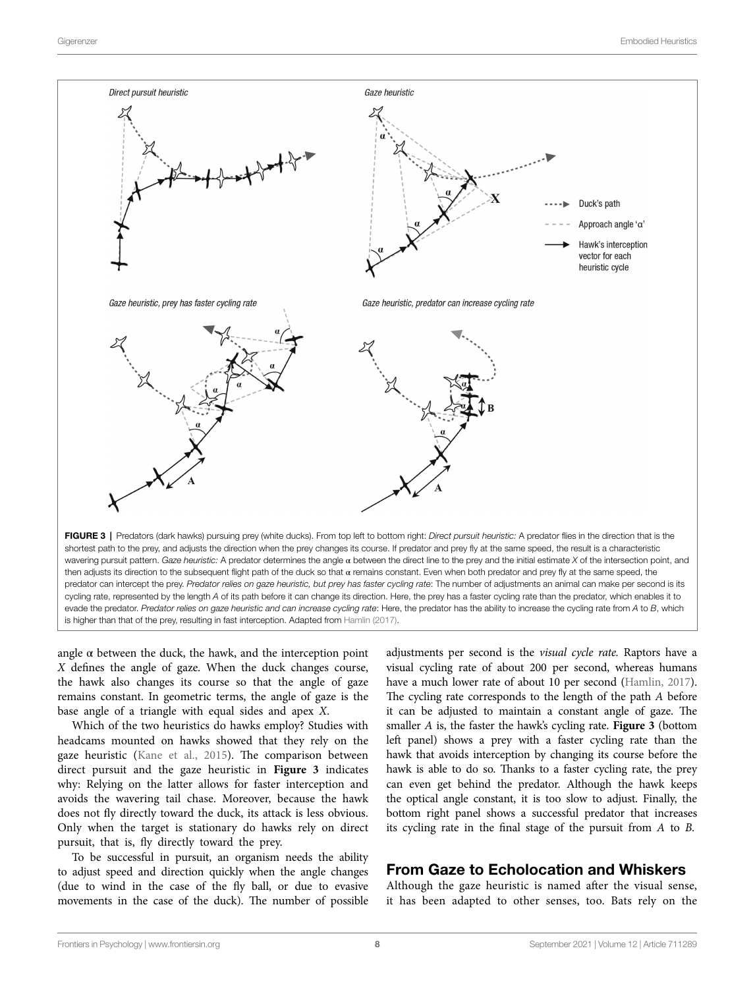<span id="page-7-0"></span>

is higher than that of the prey, resulting in fast interception. Adapted from [Hamlin \(2017\)](#page-10-20).

angle  $\alpha$  between the duck, the hawk, and the interception point *X* defines the angle of gaze. When the duck changes course, the hawk also changes its course so that the angle of gaze remains constant. In geometric terms, the angle of gaze is the base angle of a triangle with equal sides and apex *X*.

Which of the two heuristics do hawks employ? Studies with headcams mounted on hawks showed that they rely on the gaze heuristic [\(Kane et al., 2015](#page-11-23)). The comparison between direct pursuit and the gaze heuristic in **[Figure 3](#page-7-0)** indicates why: Relying on the latter allows for faster interception and avoids the wavering tail chase. Moreover, because the hawk does not fly directly toward the duck, its attack is less obvious. Only when the target is stationary do hawks rely on direct pursuit, that is, fly directly toward the prey.

To be successful in pursuit, an organism needs the ability to adjust speed and direction quickly when the angle changes (due to wind in the case of the fly ball, or due to evasive movements in the case of the duck). The number of possible

adjustments per second is the *visual cycle rate.* Raptors have a visual cycling rate of about 200 per second, whereas humans have a much lower rate of about 10 per second ([Hamlin, 2017\)](#page-10-20). The cycling rate corresponds to the length of the path *A* before it can be adjusted to maintain a constant angle of gaze. The smaller *A* is, the faster the hawk's cycling rate. **[Figure 3](#page-7-0)** (bottom left panel) shows a prey with a faster cycling rate than the hawk that avoids interception by changing its course before the hawk is able to do so. Thanks to a faster cycling rate, the prey can even get behind the predator. Although the hawk keeps the optical angle constant, it is too slow to adjust. Finally, the bottom right panel shows a successful predator that increases its cycling rate in the final stage of the pursuit from *A* to *B*.

#### From Gaze to Echolocation and Whiskers

Although the gaze heuristic is named after the visual sense, it has been adapted to other senses, too. Bats rely on the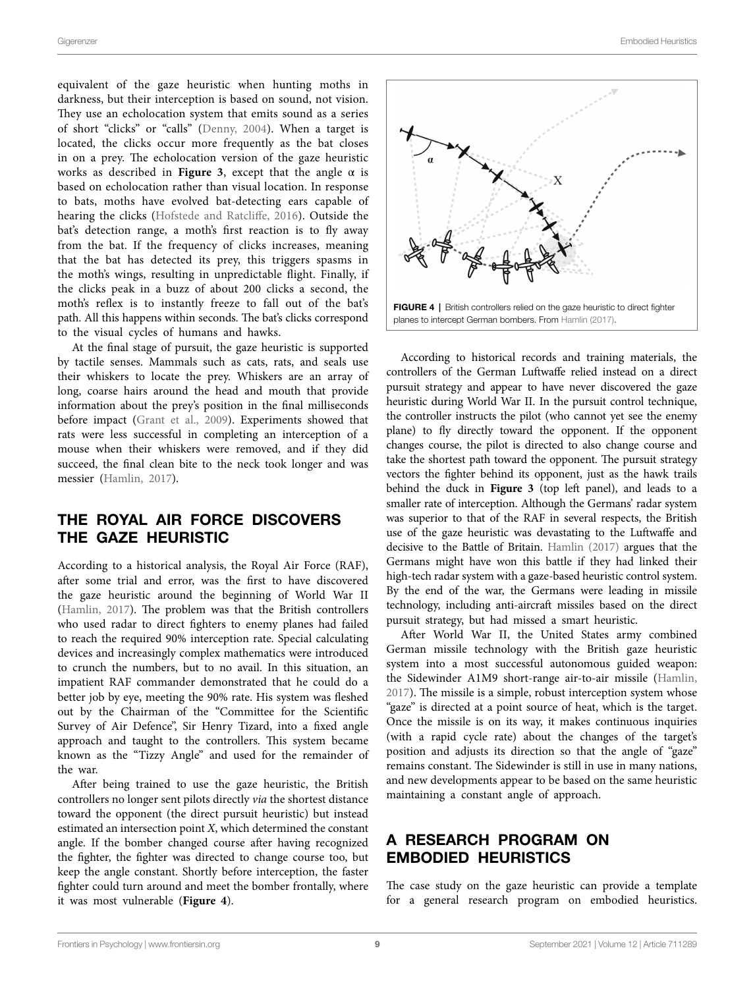equivalent of the gaze heuristic when hunting moths in darkness, but their interception is based on sound, not vision. They use an echolocation system that emits sound as a series of short "clicks" or "calls" ([Denny, 2004](#page-10-21)). When a target is located, the clicks occur more frequently as the bat closes in on a prey. The echolocation version of the gaze heuristic works as described in **Figure 3**, except that the angle  $\alpha$  is based on echolocation rather than visual location. In response to bats, moths have evolved bat-detecting ears capable of hearing the clicks ([Hofstede and Ratcliffe, 2016](#page-11-24)). Outside the bat's detection range, a moth's first reaction is to fly away from the bat. If the frequency of clicks increases, meaning that the bat has detected its prey, this triggers spasms in the moth's wings, resulting in unpredictable flight. Finally, if the clicks peak in a buzz of about 200 clicks a second, the moth's reflex is to instantly freeze to fall out of the bat's path. All this happens within seconds. The bat's clicks correspond to the visual cycles of humans and hawks.

At the final stage of pursuit, the gaze heuristic is supported by tactile senses. Mammals such as cats, rats, and seals use their whiskers to locate the prey. Whiskers are an array of long, coarse hairs around the head and mouth that provide information about the prey's position in the final milliseconds before impact ([Grant et al., 2009\)](#page-10-22). Experiments showed that rats were less successful in completing an interception of a mouse when their whiskers were removed, and if they did succeed, the final clean bite to the neck took longer and was messier ([Hamlin, 2017\)](#page-10-20).

## THE ROYAL AIR FORCE DISCOVERS THE GAZE HEURISTIC

According to a historical analysis, the Royal Air Force (RAF), after some trial and error, was the first to have discovered the gaze heuristic around the beginning of World War II ([Hamlin, 2017](#page-10-20)). The problem was that the British controllers who used radar to direct fighters to enemy planes had failed to reach the required 90% interception rate. Special calculating devices and increasingly complex mathematics were introduced to crunch the numbers, but to no avail. In this situation, an impatient RAF commander demonstrated that he could do a better job by eye, meeting the 90% rate. His system was fleshed out by the Chairman of the "Committee for the Scientific Survey of Air Defence", Sir Henry Tizard, into a fixed angle approach and taught to the controllers. This system became known as the "Tizzy Angle" and used for the remainder of the war.

After being trained to use the gaze heuristic, the British controllers no longer sent pilots directly *via* the shortest distance toward the opponent (the direct pursuit heuristic) but instead estimated an intersection point *X*, which determined the constant angle. If the bomber changed course after having recognized the fighter, the fighter was directed to change course too, but keep the angle constant. Shortly before interception, the faster fighter could turn around and meet the bomber frontally, where it was most vulnerable (**[Figure 4](#page-8-0)**).

<span id="page-8-0"></span>

According to historical records and training materials, the controllers of the German Luftwaffe relied instead on a direct pursuit strategy and appear to have never discovered the gaze heuristic during World War II. In the pursuit control technique, the controller instructs the pilot (who cannot yet see the enemy plane) to fly directly toward the opponent. If the opponent changes course, the pilot is directed to also change course and take the shortest path toward the opponent. The pursuit strategy vectors the fighter behind its opponent, just as the hawk trails behind the duck in **[Figure 3](#page-7-0)** (top left panel), and leads to a smaller rate of interception. Although the Germans' radar system was superior to that of the RAF in several respects, the British use of the gaze heuristic was devastating to the Luftwaffe and decisive to the Battle of Britain. [Hamlin \(2017\)](#page-10-20) argues that the Germans might have won this battle if they had linked their high-tech radar system with a gaze-based heuristic control system. By the end of the war, the Germans were leading in missile technology, including anti-aircraft missiles based on the direct pursuit strategy, but had missed a smart heuristic.

After World War II, the United States army combined German missile technology with the British gaze heuristic system into a most successful autonomous guided weapon: the Sidewinder A1M9 short-range air-to-air missile ([Hamlin,](#page-10-20)  [2017\)](#page-10-20). The missile is a simple, robust interception system whose "gaze" is directed at a point source of heat, which is the target. Once the missile is on its way, it makes continuous inquiries (with a rapid cycle rate) about the changes of the target's position and adjusts its direction so that the angle of "gaze" remains constant. The Sidewinder is still in use in many nations, and new developments appear to be based on the same heuristic maintaining a constant angle of approach.

## A RESEARCH PROGRAM ON EMBODIED HEURISTICS

The case study on the gaze heuristic can provide a template for a general research program on embodied heuristics.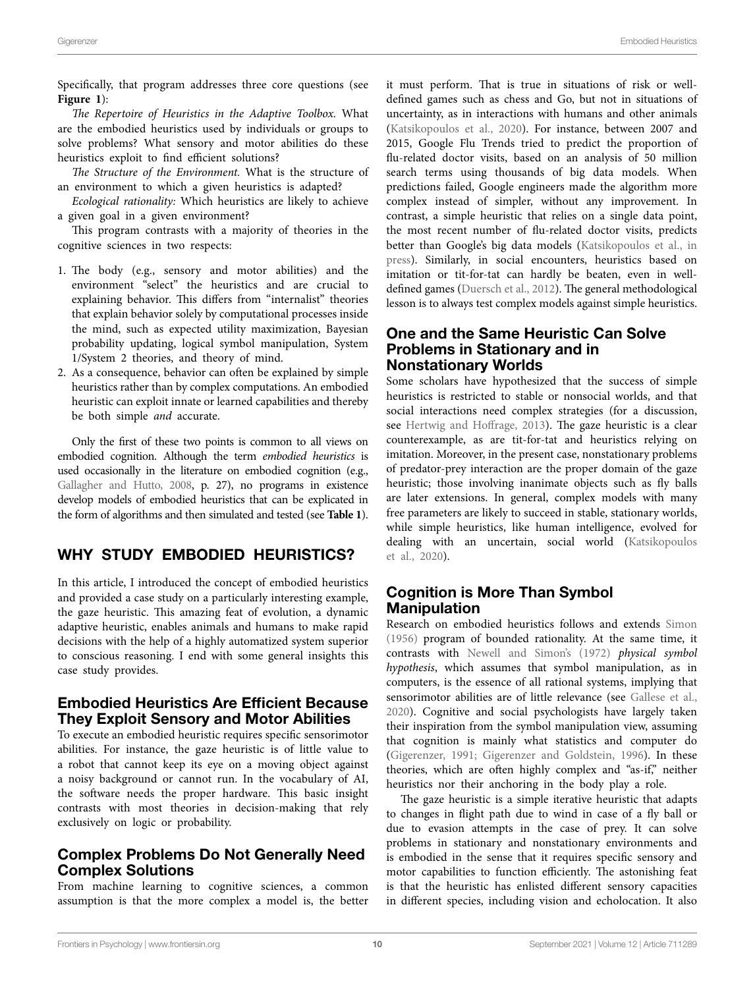Specifically, that program addresses three core questions (see **[Figure 1](#page-4-0)**):

*The Repertoire of Heuristics in the Adaptive Toolbox.* What are the embodied heuristics used by individuals or groups to solve problems? What sensory and motor abilities do these heuristics exploit to find efficient solutions?

*The Structure of the Environment.* What is the structure of an environment to which a given heuristics is adapted?

*Ecological rationality:* Which heuristics are likely to achieve a given goal in a given environment?

This program contrasts with a majority of theories in the cognitive sciences in two respects:

- 1. The body (e.g., sensory and motor abilities) and the environment "select" the heuristics and are crucial to explaining behavior. This differs from "internalist" theories that explain behavior solely by computational processes inside the mind, such as expected utility maximization, Bayesian probability updating, logical symbol manipulation, System 1/System 2 theories, and theory of mind.
- 2. As a consequence, behavior can often be explained by simple heuristics rather than by complex computations. An embodied heuristic can exploit innate or learned capabilities and thereby be both simple *and* accurate.

Only the first of these two points is common to all views on embodied cognition. Although the term *embodied heuristics* is used occasionally in the literature on embodied cognition (e.g., [Gallagher and Hutto, 2008](#page-10-23), p. 27), no programs in existence develop models of embodied heuristics that can be explicated in the form of algorithms and then simulated and tested (see **[Table 1](#page-5-1)**).

# WHY STUDY EMBODIED HEURISTICS?

In this article, I introduced the concept of embodied heuristics and provided a case study on a particularly interesting example, the gaze heuristic. This amazing feat of evolution, a dynamic adaptive heuristic, enables animals and humans to make rapid decisions with the help of a highly automatized system superior to conscious reasoning. I end with some general insights this case study provides.

#### Embodied Heuristics Are Efficient Because They Exploit Sensory and Motor Abilities

To execute an embodied heuristic requires specific sensorimotor abilities. For instance, the gaze heuristic is of little value to a robot that cannot keep its eye on a moving object against a noisy background or cannot run. In the vocabulary of AI, the software needs the proper hardware. This basic insight contrasts with most theories in decision-making that rely exclusively on logic or probability.

## Complex Problems Do Not Generally Need Complex Solutions

From machine learning to cognitive sciences, a common assumption is that the more complex a model is, the better

it must perform. That is true in situations of risk or welldefined games such as chess and Go, but not in situations of uncertainty, as in interactions with humans and other animals [\(Katsikopoulos et al., 2020\)](#page-11-25). For instance, between 2007 and 2015, Google Flu Trends tried to predict the proportion of flu-related doctor visits, based on an analysis of 50 million search terms using thousands of big data models. When predictions failed, Google engineers made the algorithm more complex instead of simpler, without any improvement. In contrast, a simple heuristic that relies on a single data point, the most recent number of flu-related doctor visits, predicts better than Google's big data models [\(Katsikopoulos et al., in](#page-11-26)  [press\)](#page-11-26). Similarly, in social encounters, heuristics based on imitation or tit-for-tat can hardly be beaten, even in welldefined games ([Duersch et al., 2012\)](#page-10-24). The general methodological lesson is to always test complex models against simple heuristics.

#### One and the Same Heuristic Can Solve Problems in Stationary and in Nonstationary Worlds

Some scholars have hypothesized that the success of simple heuristics is restricted to stable or nonsocial worlds, and that social interactions need complex strategies (for a discussion, see [Hertwig and Hoffrage, 2013](#page-11-27)). The gaze heuristic is a clear counterexample, as are tit-for-tat and heuristics relying on imitation. Moreover, in the present case, nonstationary problems of predator-prey interaction are the proper domain of the gaze heuristic; those involving inanimate objects such as fly balls are later extensions. In general, complex models with many free parameters are likely to succeed in stable, stationary worlds, while simple heuristics, like human intelligence, evolved for dealing with an uncertain, social world ([Katsikopoulos](#page-11-25)  [et al., 2020](#page-11-25)).

## Cognition is More Than Symbol Manipulation

Research on embodied heuristics follows and extends [Simon](#page-11-28)  [\(1956\)](#page-11-28) program of bounded rationality. At the same time, it contrasts with [Newell and Simon's \(1972\)](#page-11-29) *physical symbol hypothesis*, which assumes that symbol manipulation, as in computers, is the essence of all rational systems, implying that sensorimotor abilities are of little relevance (see [Gallese et al.,](#page-10-25)  [2020\)](#page-10-25). Cognitive and social psychologists have largely taken their inspiration from the symbol manipulation view, assuming that cognition is mainly what statistics and computer do [\(Gigerenzer, 1991](#page-10-26); [Gigerenzer and Goldstein, 1996\)](#page-10-27). In these theories, which are often highly complex and "as-if," neither heuristics nor their anchoring in the body play a role.

The gaze heuristic is a simple iterative heuristic that adapts to changes in flight path due to wind in case of a fly ball or due to evasion attempts in the case of prey. It can solve problems in stationary and nonstationary environments and is embodied in the sense that it requires specific sensory and motor capabilities to function efficiently. The astonishing feat is that the heuristic has enlisted different sensory capacities in different species, including vision and echolocation. It also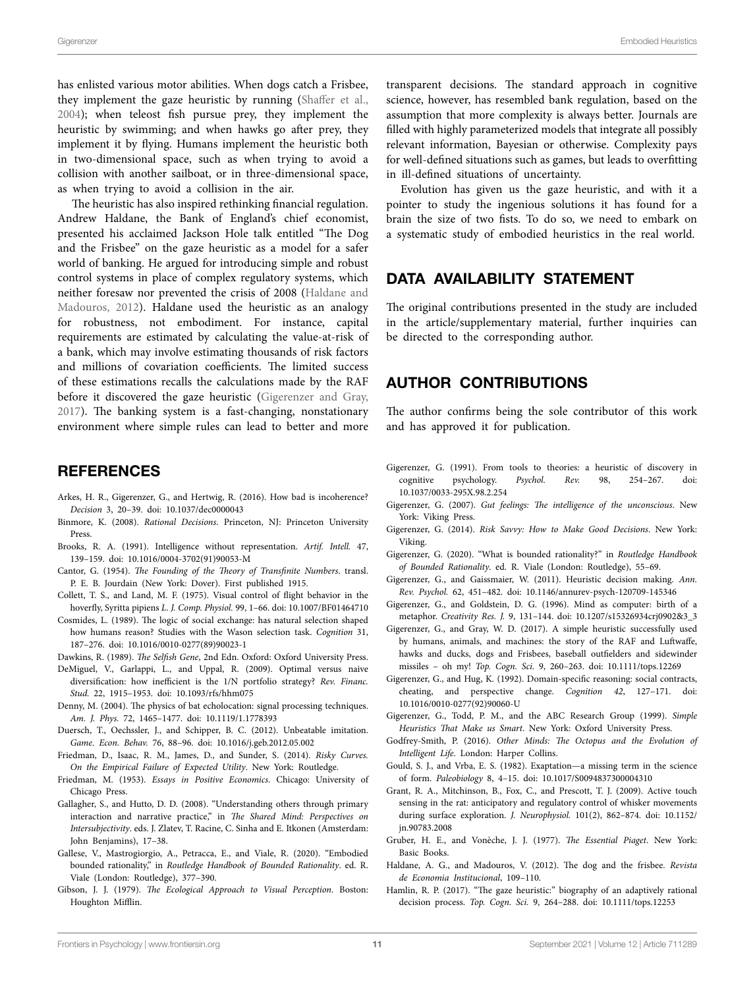has enlisted various motor abilities. When dogs catch a Frisbee, they implement the gaze heuristic by running ([Shaffer et al.,](#page-11-30)  [2004\)](#page-11-30); when teleost fish pursue prey, they implement the heuristic by swimming; and when hawks go after prey, they implement it by flying. Humans implement the heuristic both in two-dimensional space, such as when trying to avoid a collision with another sailboat, or in three-dimensional space, as when trying to avoid a collision in the air.

The heuristic has also inspired rethinking financial regulation. Andrew Haldane, the Bank of England's chief economist, presented his acclaimed Jackson Hole talk entitled "The Dog and the Frisbee" on the gaze heuristic as a model for a safer world of banking. He argued for introducing simple and robust control systems in place of complex regulatory systems, which neither foresaw nor prevented the crisis of 2008 ([Haldane and](#page-10-28)  [Madouros, 2012\)](#page-10-28). Haldane used the heuristic as an analogy for robustness, not embodiment. For instance, capital requirements are estimated by calculating the value-at-risk of a bank, which may involve estimating thousands of risk factors and millions of covariation coefficients. The limited success of these estimations recalls the calculations made by the RAF before it discovered the gaze heuristic ([Gigerenzer and Gray,](#page-10-17)  [2017\)](#page-10-17). The banking system is a fast-changing, nonstationary environment where simple rules can lead to better and more

#### **REFERENCES**

- <span id="page-10-13"></span>Arkes, H. R., Gigerenzer, G., and Hertwig, R. (2016). How bad is incoherence? *Decision* 3, 20–39. doi: [10.1037/dec0000043](https://doi.org/10.1037/dec0000043)
- <span id="page-10-7"></span>Binmore, K. (2008). *Rational Decisions*. Princeton, NJ: Princeton University Press.
- <span id="page-10-2"></span>Brooks, R. A. (1991). Intelligence without representation. *Artif. Intell.* 47, 139–159. doi: [10.1016/0004-3702\(91\)90053-M](https://doi.org/10.1016/0004-3702(91)90053-M)
- <span id="page-10-6"></span>Cantor, G. (1954). *The Founding of the Theory of Transfinite Numbers*. transl. P. E. B. Jourdain (New York: Dover). First published 1915.
- <span id="page-10-18"></span>Collett, T. S., and Land, M. F. (1975). Visual control of flight behavior in the hoverfly, Syritta pipiens *L*. *J. Comp. Physiol.* 99, 1–66. doi: [10.1007/BF01464710](https://doi.org/10.1007/BF01464710)
- <span id="page-10-11"></span>Cosmides, L. (1989). The logic of social exchange: has natural selection shaped how humans reason? Studies with the Wason selection task. *Cognition* 31, 187–276. doi: [10.1016/0010-0277\(89\)90023-1](https://doi.org/10.1016/0010-0277(89)90023-1)

<span id="page-10-15"></span>Dawkins, R. (1989). *The Selfish Gene*, 2nd Edn. Oxford: Oxford University Press.

- <span id="page-10-14"></span>DeMiguel, V., Garlappi, L., and Uppal, R. (2009). Optimal versus naive diversification: how inefficient is the 1/N portfolio strategy? *Rev. Financ. Stud.* 22, 1915–1953. doi: [10.1093/rfs/hhm075](https://doi.org/10.1093/rfs/hhm075)
- <span id="page-10-21"></span>Denny, M. (2004). The physics of bat echolocation: signal processing techniques. *Am. J. Phys.* 72, 1465–1477. doi: [10.1119/1.1778393](https://doi.org/10.1119/1.1778393)
- <span id="page-10-24"></span>Duersch, T., Oechssler, J., and Schipper, B. C. (2012). Unbeatable imitation. *Game. Econ. Behav.* 76, 88–96. doi: [10.1016/j.geb.2012.05.002](https://doi.org/10.1016/j.geb.2012.05.002)
- <span id="page-10-4"></span>Friedman, D., Isaac, R. M., James, D., and Sunder, S. (2014). *Risky Curves. On the Empirical Failure of Expected Utility*. New York: Routledge.
- <span id="page-10-3"></span>Friedman, M. (1953). *Essays in Positive Economics*. Chicago: University of Chicago Press.
- <span id="page-10-23"></span>Gallagher, S., and Hutto, D. D. (2008). "Understanding others through primary interaction and narrative practice," in *The Shared Mind: Perspectives on Intersubjectivity*. eds. J. Zlatev, T. Racine, C. Sinha and E. Itkonen (Amsterdam: John Benjamins), 17–38.
- <span id="page-10-25"></span>Gallese, V., Mastrogiorgio, A., Petracca, E., and Viale, R. (2020). "Embodied bounded rationality," in *Routledge Handbook of Bounded Rationality*. ed. R. Viale (London: Routledge), 377–390.
- <span id="page-10-1"></span>Gibson, J. J. (1979). *The Ecological Approach to Visual Perception*. Boston: Houghton Mifflin.

transparent decisions. The standard approach in cognitive science, however, has resembled bank regulation, based on the assumption that more complexity is always better. Journals are filled with highly parameterized models that integrate all possibly relevant information, Bayesian or otherwise. Complexity pays for well-defined situations such as games, but leads to overfitting in ill-defined situations of uncertainty.

Evolution has given us the gaze heuristic, and with it a pointer to study the ingenious solutions it has found for a brain the size of two fists. To do so, we need to embark on a systematic study of embodied heuristics in the real world.

## DATA AVAILABILITY STATEMENT

The original contributions presented in the study are included in the article/supplementary material, further inquiries can be directed to the corresponding author.

#### AUTHOR CONTRIBUTIONS

The author confirms being the sole contributor of this work and has approved it for publication.

- <span id="page-10-26"></span>Gigerenzer, G. (1991). From tools to theories: a heuristic of discovery in cognitive psychology. *Psychol. Rev.* 98, 254–267. doi: [10.1037/0033-295X.98.2.254](https://doi.org/10.1037/0033-295X.98.2.254)
- <span id="page-10-17"></span>Gigerenzer, G. (2007). *Gut feelings: The intelligence of the unconscious*. New York: Viking Press.
- <span id="page-10-16"></span>Gigerenzer, G. (2014). *Risk Savvy: How to Make Good Decisions*. New York: Viking.
- <span id="page-10-8"></span>Gigerenzer, G. (2020). "What is bounded rationality?" in *Routledge Handbook of Bounded Rationality*. ed. R. Viale (London: Routledge), 55–69.
- <span id="page-10-10"></span>Gigerenzer, G., and Gaissmaier, W. (2011). Heuristic decision making. *Ann. Rev. Psychol.* 62, 451–482. doi: [10.1146/annurev-psych-120709-145346](https://doi.org/10.1146/annurev-psych-120709-145346)
- <span id="page-10-27"></span>Gigerenzer, G., and Goldstein, D. G. (1996). Mind as computer: birth of a metaphor. *Creativity Res. J.* 9, 131–144. doi: [10.1207/s15326934crj0902&3\\_3](https://doi.org/10.1207/s15326934crj0902&3_3)
- Gigerenzer, G., and Gray, W. D. (2017). A simple heuristic successfully used by humans, animals, and machines: the story of the RAF and Luftwaffe, hawks and ducks, dogs and Frisbees, baseball outfielders and sidewinder missiles – oh my! *Top. Cogn. Sci.* 9, 260–263. doi: [10.1111/tops.12269](https://doi.org/10.1111/tops.12269)
- <span id="page-10-12"></span>Gigerenzer, G., and Hug, K. (1992). Domain-specific reasoning: social contracts, cheating, and perspective change. *Cognition 42*, 127–171. doi: [10.1016/0010-0277\(92\)90060-U](https://doi.org/10.1016/0010-0277(92)90060-U)
- <span id="page-10-9"></span>Gigerenzer, G., Todd, P. M., and the ABC Research Group (1999). *Simple Heuristics That Make us Smart*. New York: Oxford University Press.
- <span id="page-10-5"></span>Godfrey-Smith, P. (2016). *Other Minds: The Octopus and the Evolution of Intelligent Life*. London: Harper Collins.
- <span id="page-10-19"></span>Gould, S. J., and Vrba, E. S. (1982). Exaptation—a missing term in the science of form. *Paleobiology* 8, 4–15. doi: [10.1017/S0094837300004310](https://doi.org/10.1017/S0094837300004310)
- <span id="page-10-22"></span>Grant, R. A., Mitchinson, B., Fox, C., and Prescott, T. J. (2009). Active touch sensing in the rat: anticipatory and regulatory control of whisker movements during surface exploration. *J. Neurophysiol.* 101(2), 862–874. doi: [10.1152/](https://doi.org/10.1152/jn.90783.2008) [jn.90783.2008](https://doi.org/10.1152/jn.90783.2008)
- <span id="page-10-0"></span>Gruber, H. E., and Vonèche, J. J. (1977). *The Essential Piaget*. New York: Basic Books.
- <span id="page-10-28"></span>Haldane, A. G., and Madouros, V. (2012). The dog and the frisbee. *Revista de Economia Institucional*, 109–110.
- <span id="page-10-20"></span>Hamlin, R. P. (2017). "The gaze heuristic:" biography of an adaptively rational decision process. *Top. Cogn. Sci.* 9, 264–288. doi: [10.1111/tops.12253](https://doi.org/10.1111/tops.12253)